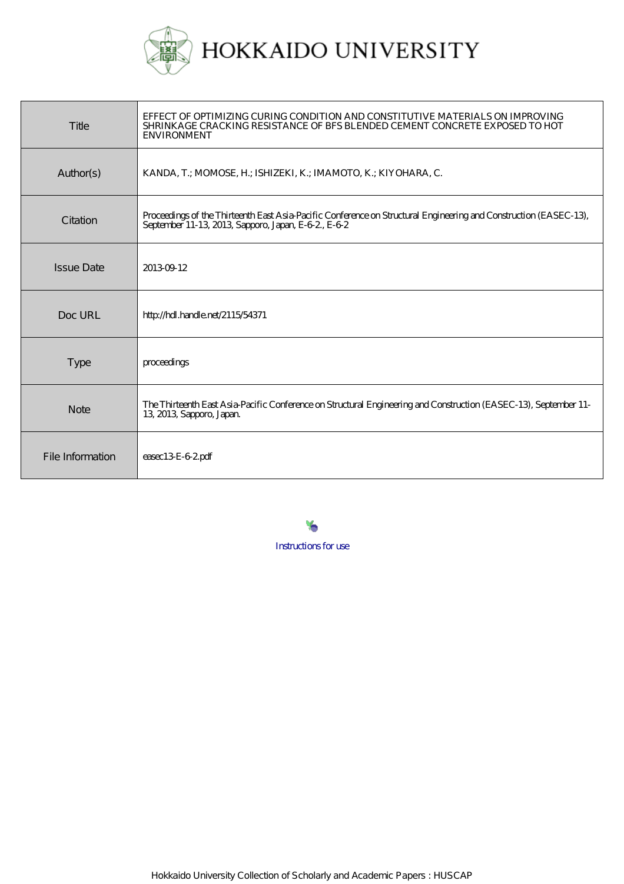

| Title             | EFFECT OF OPTIMIZING CURING CONDITION AND CONSTITUTIVE MATERIALS ON IMPROVING<br>SHRINKAGE CRACKING RESISTANCE OF BFS BLENDED CEMENT CONCRETE EXPOSED TO HOT<br><b>ENVIRONMENT</b> |
|-------------------|------------------------------------------------------------------------------------------------------------------------------------------------------------------------------------|
| Author(s)         | KANDA, T.; MOMOSE, H.; ISHIZEKI, K.; IMAMOTO, K.; KIYOHARA, C.                                                                                                                     |
| Citation          | Proceedings of the Thirteenth East Asia-Pacific Conference on Structural Engineering and Construction (EASEC-13),<br>September 11-13, 2013, Sapporo, Japan, E-62, E-62             |
| <b>Issue Date</b> | 20130912                                                                                                                                                                           |
| Doc URL           | http://hdl.handle.net/2115/54371                                                                                                                                                   |
| <b>Type</b>       | proceedings                                                                                                                                                                        |
| <b>Note</b>       | The Thirteenth East Asia-Pacific Conference on Structural Engineering and Construction (EASEC-13), September 11-<br>13, 2013, Sapporo, Japan.                                      |
| File Information  | easec13E-62pdf                                                                                                                                                                     |

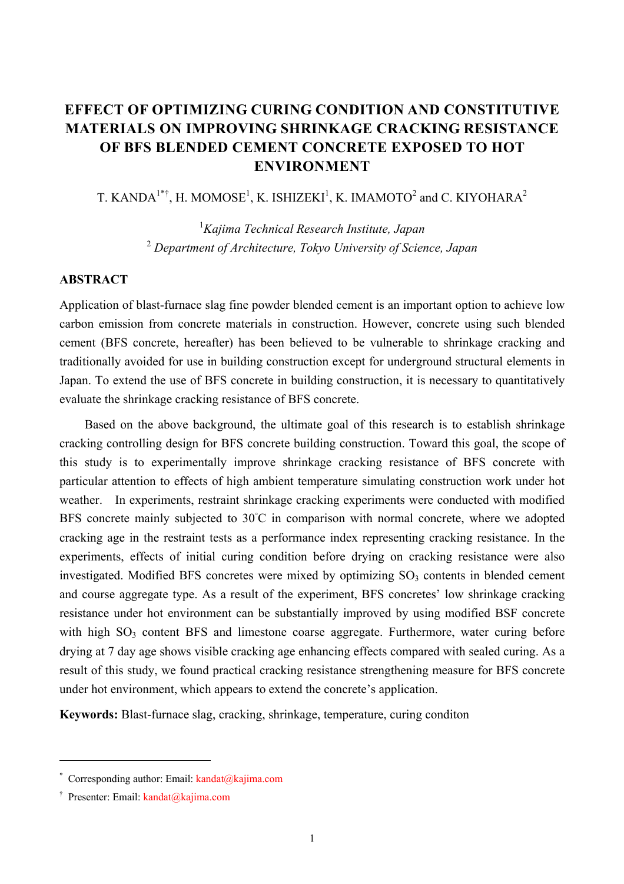# **EFFECT OF OPTIMIZING CURING CONDITION AND CONSTITUTIVE MATERIALS ON IMPROVING SHRINKAGE CRACKING RESISTANCE OF BFS BLENDED CEMENT CONCRETE EXPOSED TO HOT ENVIRONMENT**

T. KANDA<sup>1\*†</sup>, H. MOMOSE<sup>1</sup>, K. ISHIZEKI<sup>1</sup>, K. IMAMOTO<sup>2</sup> and C. KIYOHARA<sup>2</sup>

1 *Kajima Technical Research Institute, Japan*  2  *Department of Architecture, Tokyo University of Science, Japan* 

# **ABSTRACT**

Application of blast-furnace slag fine powder blended cement is an important option to achieve low carbon emission from concrete materials in construction. However, concrete using such blended cement (BFS concrete, hereafter) has been believed to be vulnerable to shrinkage cracking and traditionally avoided for use in building construction except for underground structural elements in Japan. To extend the use of BFS concrete in building construction, it is necessary to quantitatively evaluate the shrinkage cracking resistance of BFS concrete.

Based on the above background, the ultimate goal of this research is to establish shrinkage cracking controlling design for BFS concrete building construction. Toward this goal, the scope of this study is to experimentally improve shrinkage cracking resistance of BFS concrete with particular attention to effects of high ambient temperature simulating construction work under hot weather. In experiments, restraint shrinkage cracking experiments were conducted with modified BFS concrete mainly subjected to 30°C in comparison with normal concrete, where we adopted cracking age in the restraint tests as a performance index representing cracking resistance. In the experiments, effects of initial curing condition before drying on cracking resistance were also investigated. Modified BFS concretes were mixed by optimizing  $SO<sub>3</sub>$  contents in blended cement and course aggregate type. As a result of the experiment, BFS concretes' low shrinkage cracking resistance under hot environment can be substantially improved by using modified BSF concrete with high  $SO<sub>3</sub>$  content BFS and limestone coarse aggregate. Furthermore, water curing before drying at 7 day age shows visible cracking age enhancing effects compared with sealed curing. As a result of this study, we found practical cracking resistance strengthening measure for BFS concrete under hot environment, which appears to extend the concrete's application.

**Keywords:** Blast-furnace slag, cracking, shrinkage, temperature, curing conditon

 $\overline{a}$ 

<sup>\*</sup> Corresponding author: Email: kandat@kajima.com

<sup>&</sup>lt;sup>†</sup> Presenter: Email: kandat@kajima.com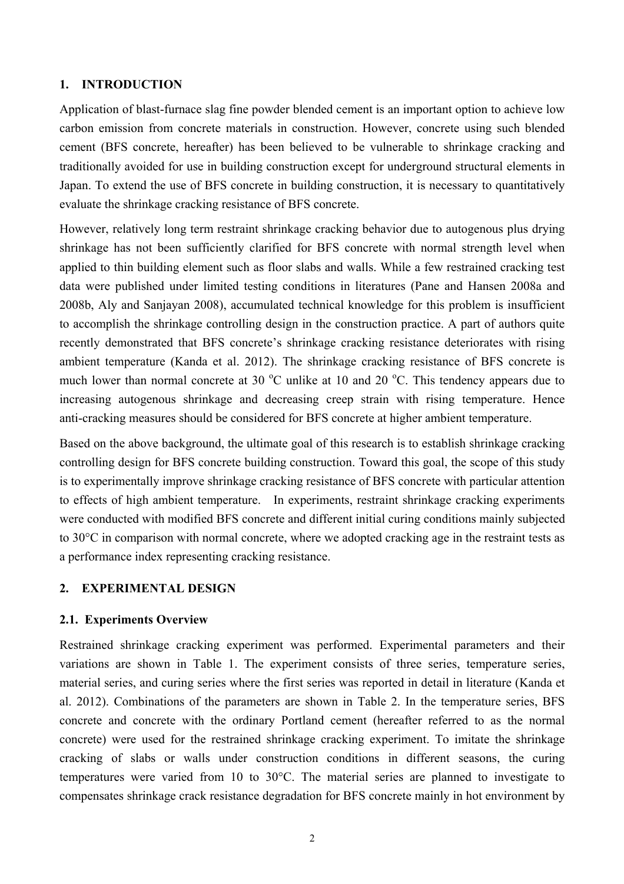## **1. INTRODUCTION**

Application of blast-furnace slag fine powder blended cement is an important option to achieve low carbon emission from concrete materials in construction. However, concrete using such blended cement (BFS concrete, hereafter) has been believed to be vulnerable to shrinkage cracking and traditionally avoided for use in building construction except for underground structural elements in Japan. To extend the use of BFS concrete in building construction, it is necessary to quantitatively evaluate the shrinkage cracking resistance of BFS concrete.

However, relatively long term restraint shrinkage cracking behavior due to autogenous plus drying shrinkage has not been sufficiently clarified for BFS concrete with normal strength level when applied to thin building element such as floor slabs and walls. While a few restrained cracking test data were published under limited testing conditions in literatures (Pane and Hansen 2008a and 2008b, Aly and Sanjayan 2008), accumulated technical knowledge for this problem is insufficient to accomplish the shrinkage controlling design in the construction practice. A part of authors quite recently demonstrated that BFS concrete's shrinkage cracking resistance deteriorates with rising ambient temperature (Kanda et al. 2012). The shrinkage cracking resistance of BFS concrete is much lower than normal concrete at 30  $^{\circ}$ C unlike at 10 and 20  $^{\circ}$ C. This tendency appears due to increasing autogenous shrinkage and decreasing creep strain with rising temperature. Hence anti-cracking measures should be considered for BFS concrete at higher ambient temperature.

Based on the above background, the ultimate goal of this research is to establish shrinkage cracking controlling design for BFS concrete building construction. Toward this goal, the scope of this study is to experimentally improve shrinkage cracking resistance of BFS concrete with particular attention to effects of high ambient temperature. In experiments, restraint shrinkage cracking experiments were conducted with modified BFS concrete and different initial curing conditions mainly subjected to 30°C in comparison with normal concrete, where we adopted cracking age in the restraint tests as a performance index representing cracking resistance.

# **2. EXPERIMENTAL DESIGN**

# **2.1. Experiments Overview**

Restrained shrinkage cracking experiment was performed. Experimental parameters and their variations are shown in Table 1. The experiment consists of three series, temperature series, material series, and curing series where the first series was reported in detail in literature (Kanda et al. 2012). Combinations of the parameters are shown in Table 2. In the temperature series, BFS concrete and concrete with the ordinary Portland cement (hereafter referred to as the normal concrete) were used for the restrained shrinkage cracking experiment. To imitate the shrinkage cracking of slabs or walls under construction conditions in different seasons, the curing temperatures were varied from 10 to 30°C. The material series are planned to investigate to compensates shrinkage crack resistance degradation for BFS concrete mainly in hot environment by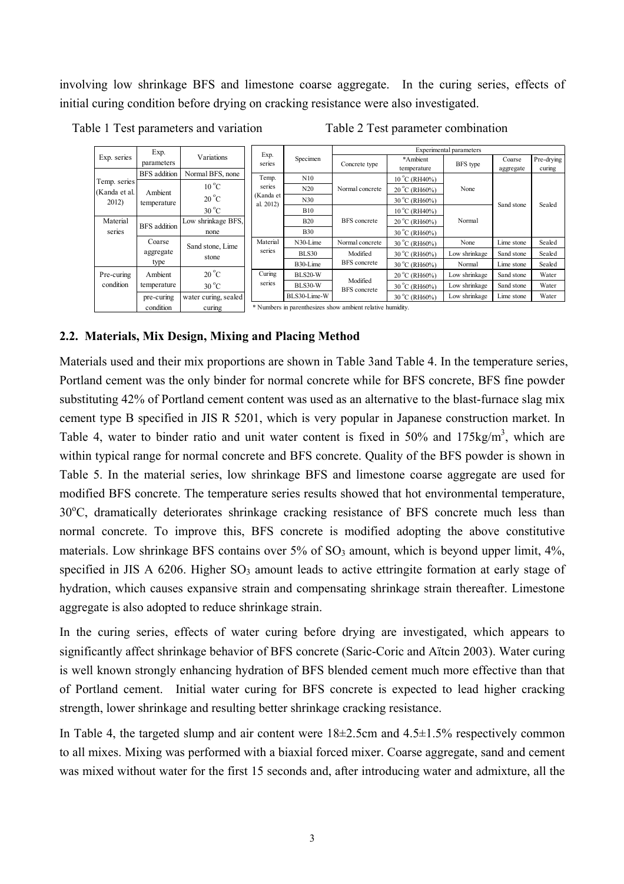involving low shrinkage BFS and limestone coarse aggregate. In the curing series, effects of initial curing condition before drying on cracking resistance were also investigated.

Table 1 Test parameters and variation Table 2 Test parameter combination

|               | Exp.                       |                      |                                                            |                | Experimental parameters         |                        |               |            |            |  |  |  |
|---------------|----------------------------|----------------------|------------------------------------------------------------|----------------|---------------------------------|------------------------|---------------|------------|------------|--|--|--|
| Exp. series   | parameters                 | Variations           | Exp.<br>series                                             | Specimen       | Concrete type                   | *Ambient               | BFS type      | Coarse     | Pre-drying |  |  |  |
|               |                            |                      |                                                            | temperature    |                                 | aggregate              | curing        |            |            |  |  |  |
| Temp. series  | <b>BFS</b> addition        | Normal BFS, none     | Temp.                                                      | N10            |                                 | $10^{\circ}$ C (RH40%) | None          | Sand stone | Sealed     |  |  |  |
| (Kanda et al. | Ambient<br>temperature     | $10^{\circ}$ C       | series<br>(Kanda et<br>al. 2012)                           | N20            | Normal concrete                 | $20^{\circ}$ C (RH60%) |               |            |            |  |  |  |
| 2012)         |                            | $20^{\circ}$ C       |                                                            | N30            |                                 | $30^{\circ}$ C (RH60%) |               |            |            |  |  |  |
|               |                            | $30^{\circ}$ C       |                                                            | <b>B10</b>     |                                 | 10 °C (RH40%)          | Normal        |            |            |  |  |  |
| Material      | <b>BFS</b> addition        | Low shrinkage BFS,   |                                                            | <b>B20</b>     | <b>BFS</b> concrete             | 20 °C (RH60%)          |               |            |            |  |  |  |
| series        |                            | none                 |                                                            | <b>B30</b>     |                                 | $30^{\circ}$ C (RH60%) |               |            |            |  |  |  |
|               | Coarse<br>Sand stone, Lime |                      | Material                                                   | N30-Lime       | Normal concrete                 | 30 °C (RH60%)          | None          | Lime stone | Sealed     |  |  |  |
|               | aggregate                  | stone                | series                                                     | <b>BLS30</b>   | Modified                        | 30 °C (RH60%)          | Low shrinkage | Sand stone | Sealed     |  |  |  |
|               | type                       |                      |                                                            | B30-Lime       | <b>BFS</b> concrete             | 30 °C (RH60%)          | Normal        | Lime stone | Sealed     |  |  |  |
| Pre-curing    | Ambient                    | $20^{\circ}$ C       | Curing                                                     | <b>BLS20-W</b> |                                 | $20^{\circ}$ C (RH60%) | Low shrinkage | Sand stone | Water      |  |  |  |
| condition     | temperature                | $30^{\circ}$ C       | series                                                     | <b>BLS30-W</b> | Modified<br><b>BFS</b> concrete | 30 °C (RH60%)          | Low shrinkage | Sand stone | Water      |  |  |  |
|               | pre-curing                 | water curing, sealed |                                                            | BLS30-Lime-W   |                                 | 30 °C (RH60%)          | Low shrinkage | Lime stone | Water      |  |  |  |
|               | condition                  | curing               | * Numbers in parenthesizes show ambient relative humidity. |                |                                 |                        |               |            |            |  |  |  |

# **2.2. Materials, Mix Design, Mixing and Placing Method**

Materials used and their mix proportions are shown in Table 3and Table 4. In the temperature series, Portland cement was the only binder for normal concrete while for BFS concrete, BFS fine powder substituting 42% of Portland cement content was used as an alternative to the blast-furnace slag mix cement type B specified in JIS R 5201, which is very popular in Japanese construction market. In Table 4, water to binder ratio and unit water content is fixed in 50% and 175kg/m<sup>3</sup>, which are within typical range for normal concrete and BFS concrete. Quality of the BFS powder is shown in Table 5. In the material series, low shrinkage BFS and limestone coarse aggregate are used for modified BFS concrete. The temperature series results showed that hot environmental temperature, 30°C, dramatically deteriorates shrinkage cracking resistance of BFS concrete much less than normal concrete. To improve this, BFS concrete is modified adopting the above constitutive materials. Low shrinkage BFS contains over  $5\%$  of  $SO_3$  amount, which is beyond upper limit,  $4\%$ , specified in JIS A  $6206$ . Higher  $SO_3$  amount leads to active ettringite formation at early stage of hydration, which causes expansive strain and compensating shrinkage strain thereafter. Limestone aggregate is also adopted to reduce shrinkage strain.

In the curing series, effects of water curing before drying are investigated, which appears to significantly affect shrinkage behavior of BFS concrete (Saric-Coric and Aïtcin 2003). Water curing is well known strongly enhancing hydration of BFS blended cement much more effective than that of Portland cement. Initial water curing for BFS concrete is expected to lead higher cracking strength, lower shrinkage and resulting better shrinkage cracking resistance.

In Table 4, the targeted slump and air content were  $18\pm2.5$ cm and  $4.5\pm1.5$ % respectively common to all mixes. Mixing was performed with a biaxial forced mixer. Coarse aggregate, sand and cement was mixed without water for the first 15 seconds and, after introducing water and admixture, all the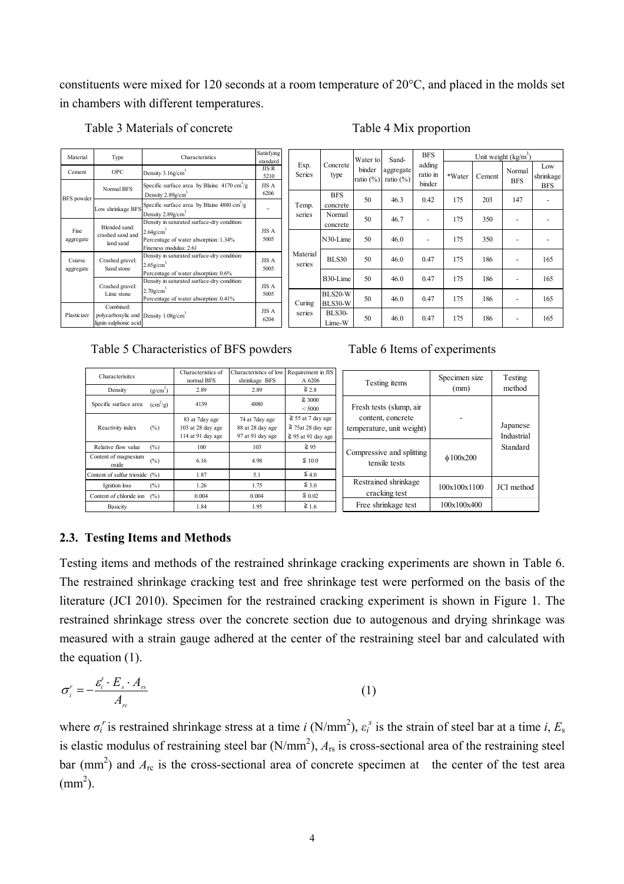constituents were mixed for 120 seconds at a room temperature of 20°C, and placed in the molds set in chambers with different temperatures.

Table 3 Materials of concrete Table 4 Mix proportion

| Material                                                            | Type                                                                                        | Characteristics                                                                               |                                          |                       |                                  | Water to | Sand-<br>aggregate<br>ratio $(\%)$ ratio $(\%)$ | <b>BFS</b><br>adding<br>ratio in<br>binder | Unit weight $(kg/m)$ |        |                      |                                |
|---------------------------------------------------------------------|---------------------------------------------------------------------------------------------|-----------------------------------------------------------------------------------------------|------------------------------------------|-----------------------|----------------------------------|----------|-------------------------------------------------|--------------------------------------------|----------------------|--------|----------------------|--------------------------------|
| Cement                                                              | <b>OPC</b>                                                                                  | Density 3.16g/cm <sup>3</sup><br>Specific surface area by Blaine $4170 \text{ cm}^2/\text{g}$ | standard<br><b>JISR</b><br>5210<br>JIS A | Exp.<br><b>Series</b> | Concrete<br>binder<br>type       |          |                                                 |                                            | *Water               | Cement | Normal<br><b>BFS</b> | Low<br>shrinkage<br><b>BFS</b> |
| BFS powder                                                          | Normal BFS                                                                                  | Density 2.89g/cm<br>Specific surface area by Blaine $4880 \text{ cm}^2/\text{g}$              | 6206                                     | Temp.                 | <b>BFS</b><br>concrete           | 50       | 46.3                                            | 0.42                                       | 175                  | 203    | 147                  |                                |
|                                                                     | Low shrinkage BFS                                                                           | Density 2.89g/cm <sup>3</sup><br>Density in saturated surface-dry condition:                  |                                          | series                | Normal<br>concrete               | 50       | 46.7                                            |                                            | 175                  | 350    |                      |                                |
| Blended sand:<br>Fine<br>crashed sand and<br>aggregate<br>land sand | $2.64$ g/cm <sup>3</sup><br>Percentage of water absorption: 1.34%<br>Fineness modulus: 2.61 | JIS A<br>5005                                                                                 |                                          | N30-Lime              | 50                               | 46.0     |                                                 | 175                                        | 350                  |        |                      |                                |
| Coarse<br>aggregate                                                 | Crashed gravel:<br>Sand stone                                                               | Density in saturated surface-dry condition:<br>$2.65$ g/cm <sup>3</sup>                       | JIS A<br>5005                            | Material<br>series    | <b>BLS30</b>                     | 50       | 46.0                                            | 0.47                                       | 175                  | 186    | -                    | 165                            |
|                                                                     | Crashed gravel:                                                                             | Percentage of water absorption: 0.6%<br>Density in saturated surface-dry condition:           | JIS A                                    |                       | B30-Lime                         | 50       | 46.0                                            | 0.47                                       | 175                  | 186    | ۰                    | 165                            |
|                                                                     | Lime stone<br>Combined:                                                                     | $2.70$ g/cm <sup>3</sup><br>Percentage of water absorption: 0.41%                             | 5005                                     | Curing                | <b>BLS20-W</b><br><b>BLS30-W</b> | 50       | 46.0                                            | 0.47                                       | 175                  | 186    | ٠                    | 165                            |
| Plasticizer                                                         | polycarboxylic and Density 1.08g/cm <sup>3</sup><br>lignin sulphonic acid                   |                                                                                               | JIS A<br>6204                            | series                | <b>BLS30-</b><br>Lime-W          | 50       | 46.0                                            | 0.47                                       | 175                  | 186    | ۰                    | 165                            |

Table 5 Characteristics of BFS powders Table 6 Items of experiments

| <b>Characterisites</b><br>Density | $(g/cm^3)$             | Characteristics of<br>normal BFS<br>2.89                 | Characteristics of low Requirement in JIS<br>shrinkage BFS<br>2.89 | A 6206<br>$\geq 2.8$                                                        | Testing items                                  | Specimen size<br>(mm) | Testing<br>method                  |
|-----------------------------------|------------------------|----------------------------------------------------------|--------------------------------------------------------------------|-----------------------------------------------------------------------------|------------------------------------------------|-----------------------|------------------------------------|
| Specific surface area             | $\text{cm}^2/\text{g}$ | 4139                                                     | 4880                                                               | $\geq 3000$<br>< 5000                                                       | Fresh tests (slump, air                        |                       |                                    |
| Reactivity index                  | $(\%)$                 | 83 at 7day age<br>103 at 28 day age<br>114 at 91 day age | 74 at 7day age<br>88 at 28 day age<br>97 at 91 day age             | $\geq$ 55 at 7 day age<br>$\geq$ 75at 28 day age<br>$\geq$ 95 at 91 day age | content, concrete<br>temperature, unit weight) |                       | Japanese<br>Industrial<br>Standard |
| Relative flow value               | $(\%)$                 | 100                                                      | 103                                                                | $\geq 95$                                                                   |                                                |                       |                                    |
| Content of magnesium<br>oxide     | (%)                    | 6.16                                                     | 4.98                                                               | $\leq 10.0$                                                                 | Compressive and splitting<br>tensile tests     | $\phi$ 100x200        |                                    |
| Content of sulfur trioxide (%)    |                        | 1.87                                                     | 5.1                                                                | $\leq 4.0$                                                                  |                                                |                       |                                    |
| Ignition loss                     | (%)                    | 1.26                                                     | 1.75                                                               | $\leq 3.0$                                                                  | Restrained shrinkage                           | 100x100x1100          | JCI method                         |
| Content of chloride ion           | (%)                    | 0.004                                                    | 0.004                                                              | $\leq 0.02$                                                                 | cracking test                                  |                       |                                    |
| <b>Basicity</b>                   |                        | 1.84                                                     | 1.95                                                               | $\geq 1.6$                                                                  | Free shrinkage test                            | 100x100x400           |                                    |

# **2.3. Testing Items and Methods**

Testing items and methods of the restrained shrinkage cracking experiments are shown in Table 6. The restrained shrinkage cracking test and free shrinkage test were performed on the basis of the literature (JCI 2010). Specimen for the restrained cracking experiment is shown in Figure 1. The restrained shrinkage stress over the concrete section due to autogenous and drying shrinkage was measured with a strain gauge adhered at the center of the restraining steel bar and calculated with the equation (1).

$$
\sigma_i^r = -\frac{\varepsilon_i^s \cdot E_s \cdot A_{rs}}{A_{rc}}
$$
 (1)

where  $\sigma_i^r$  is restrained shrinkage stress at a time *i* (N/mm<sup>2</sup>),  $\varepsilon_i^s$  is the strain of steel bar at a time *i*,  $E_s$ is elastic modulus of restraining steel bar  $(N/mm^2)$ ,  $A_{rs}$  is cross-sectional area of the restraining steel bar (mm<sup>2</sup>) and  $A_{\text{rc}}$  is the cross-sectional area of concrete specimen at the center of the test area  $\text{(mm}^2)$ .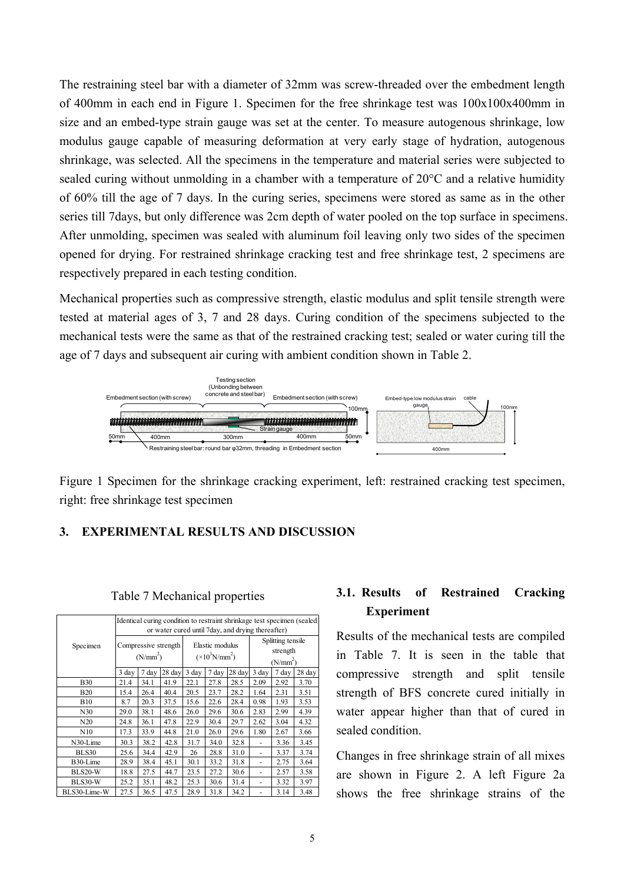The restraining steel bar with a diameter of 32mm was screw-threaded over the embedment length of 400mm in each end in Figure 1. Specimen for the free shrinkage test was  $100x100x400mm$  in size and an embed-type strain gauge was set at the center. To measure autogenous shrinkage, low modulus gauge capable of measuring deformation at very early stage of hydration, autogenous shrinkage, was selected. All the specimens in the temperature and material series were subjected to sealed curing without unmolding in a chamber with a temperature of 20°C and a relative humidity of 60% till the age of 7 days. In the curing series, specimens were stored as same as in the other series till 7days, but only difference was 2cm depth of water pooled on the top surface in specimens. After unmolding, specimen was sealed with aluminum foil leaving only two sides of the specimen opened for drying. For restrained shrinkage cracking test and free shrinkage test, 2 specimens are respectively prepared in each testing condition.

Mechanical properties such as compressive strength, elastic modulus and split tensile strength were tested at material ages of 3, 7 and 28 days. Curing condition of the specimens subjected to the mechanical tests were the same as that of the restrained cracking test; sealed or water curing till the age of 7 days and subsequent air curing with ambient condition shown in Table 2.



Figure 1 Specimen for the shrinkage cracking experiment, left: restrained cracking test specimen, right: free shrinkage test specimen

# **3. EXPERIMENTAL RESULTS AND DISCUSSION**

|              | Identical curing condition to restraint shrinkage test specimen (sealed<br>or water cured until 7 day, and drying thereafter) |                      |                      |                 |                                                  |        |                                                       |       |        |  |  |
|--------------|-------------------------------------------------------------------------------------------------------------------------------|----------------------|----------------------|-----------------|--------------------------------------------------|--------|-------------------------------------------------------|-------|--------|--|--|
| Specimen     |                                                                                                                               | (N/mm <sup>2</sup> ) | Compressive strength |                 | Elastic modulus<br>$(\times 10^3 \text{N/mm}^2)$ |        | Splitting tensile<br>strength<br>(N/mm <sup>2</sup> ) |       |        |  |  |
|              | $3 \text{ day}$                                                                                                               | 7 day                | 28 day               | $3 \text{ day}$ | 7 day                                            | 28 day | $3 \text{ day}$                                       | 7 day | 28 day |  |  |
| <b>B30</b>   | 21.4                                                                                                                          | 34.1                 | 41.9                 | 22.1            | 27.8                                             | 28.5   | 2.09                                                  | 2.92  | 3.70   |  |  |
| <b>B20</b>   | 15.4                                                                                                                          | 26.4                 | 40.4                 | 20.5            | 23.7                                             | 28.2   | 1.64                                                  | 2.31  | 3.51   |  |  |
| <b>B10</b>   | 8.7                                                                                                                           | 20.3                 | 37.5                 | 15.6            | 22.6                                             | 28.4   | 0.98                                                  | 1.93  | 3.53   |  |  |
| N30          | 29.0                                                                                                                          | 38.1                 | 48.6                 | 26.0            | 29.6                                             | 30.6   | 2.83                                                  | 2.99  | 4.39   |  |  |
| N20          | 24.8                                                                                                                          | 36.1                 | 47.8                 | 22.9            | 30.4                                             | 29.7   | 2.62                                                  | 3.04  | 4.32   |  |  |
| N10          | 17.3                                                                                                                          | 33.9                 | 44.8                 | 21.0            | 26.0                                             | 29.6   | 1.80                                                  | 2.67  | 3.66   |  |  |
| N30-Lime     | 30.3                                                                                                                          | 38.2                 | 42.8                 | 31.7            | 34.0                                             | 32.8   |                                                       | 3.36  | 3.45   |  |  |
| BLS30        | 25.6                                                                                                                          | 34.4                 | 42.9                 | 26              | 28.8                                             | 31.0   | ٠                                                     | 3.37  | 3.74   |  |  |
| B30-Lime     | 28.9                                                                                                                          | 38.4                 | 45.1                 | 30.1            | 33.2                                             | 31.8   | $\overline{a}$                                        | 2.75  | 3.64   |  |  |
| BLS20-W      | 18.8                                                                                                                          | 27.5                 | 44.7                 | 23.5            | 27.2                                             | 30.6   |                                                       | 2.57  | 3.58   |  |  |
| BLS30-W      | 25.2                                                                                                                          | 35.1                 | 48.2                 | 25.3            | 30.6                                             | 31.4   |                                                       | 3.32  | 3.97   |  |  |
| BLS30-Lime-W | 27.5                                                                                                                          | 36.5                 | 47.5                 | 28.9            | 31.8                                             | 34.2   |                                                       | 3.14  | 3.48   |  |  |

#### Table 7 Mechanical properties

# **3.1. Results of Restrained Cracking Experiment**

Results of the mechanical tests are compiled in Table 7. It is seen in the table that compressive strength and split tensile strength of BFS concrete cured initially in water appear higher than that of cured in sealed condition.

Changes in free shrinkage strain of all mixes are shown in Figure 2. A left Figure 2a shows the free shrinkage strains of the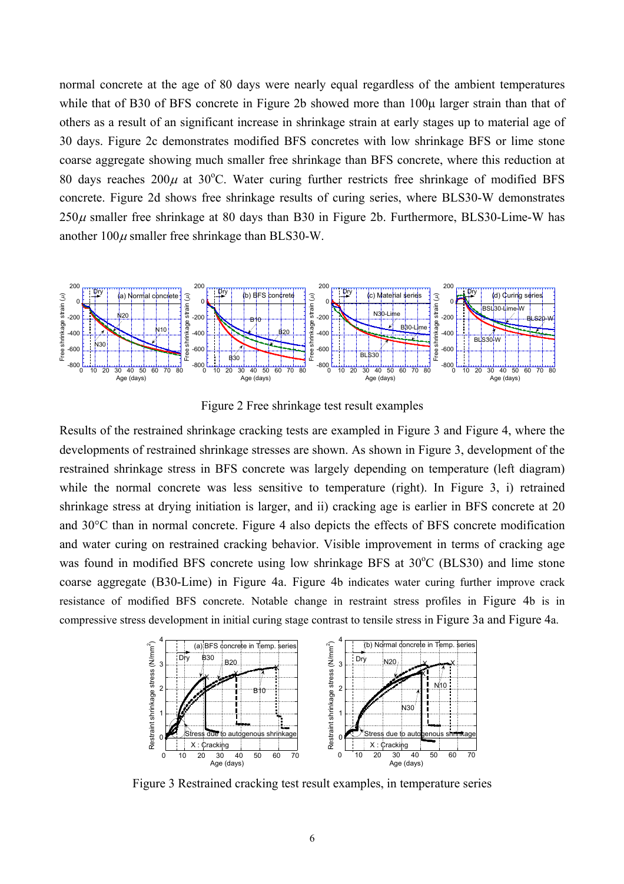normal concrete at the age of 80 days were nearly equal regardless of the ambient temperatures while that of B30 of BFS concrete in Figure 2b showed more than 100 $\mu$  larger strain than that of others as a result of an significant increase in shrinkage strain at early stages up to material age of 30 days. Figure 2c demonstrates modified BFS concretes with low shrinkage BFS or lime stone coarse aggregate showing much smaller free shrinkage than BFS concrete, where this reduction at 80 days reaches  $200\mu$  at 30°C. Water curing further restricts free shrinkage of modified BFS concrete. Figure 2d shows free shrinkage results of curing series, where BLS30-W demonstrates  $250\mu$  smaller free shrinkage at 80 days than B30 in Figure 2b. Furthermore, BLS30-Lime-W has another  $100\mu$  smaller free shrinkage than BLS30-W.



Figure 2 Free shrinkage test result examples

Results of the restrained shrinkage cracking tests are exampled in Figure 3 and Figure 4, where the developments of restrained shrinkage stresses are shown. As shown in Figure 3, development of the restrained shrinkage stress in BFS concrete was largely depending on temperature (left diagram) while the normal concrete was less sensitive to temperature (right). In Figure 3, i) retrained shrinkage stress at drying initiation is larger, and ii) cracking age is earlier in BFS concrete at 20 and 30°C than in normal concrete. Figure 4 also depicts the effects of BFS concrete modification and water curing on restrained cracking behavior. Visible improvement in terms of cracking age was found in modified BFS concrete using low shrinkage BFS at 30°C (BLS30) and lime stone coarse aggregate (B30-Lime) in Figure 4a. Figure 4b indicates water curing further improve crack resistance of modified BFS concrete. Notable change in restraint stress profiles in Figure 4b is in compressive stress development in initial curing stage contrast to tensile stress in Figure 3a and Figure 4a.



Figure 3 Restrained cracking test result examples, in temperature series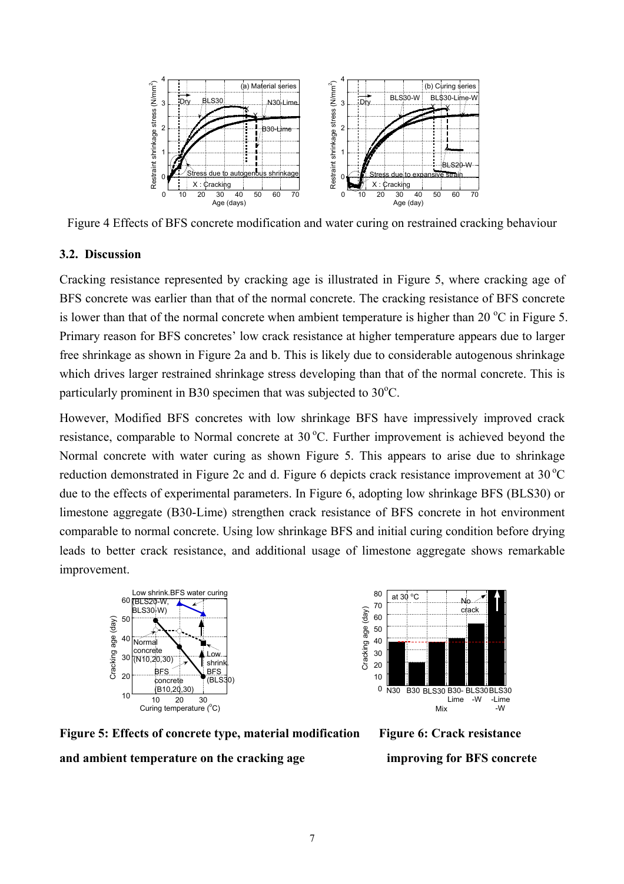

Figure 4 Effects of BFS concrete modification and water curing on restrained cracking behaviour

# **3.2. Discussion**

Cracking resistance represented by cracking age is illustrated in Figure 5, where cracking age of BFS concrete was earlier than that of the normal concrete. The cracking resistance of BFS concrete is lower than that of the normal concrete when ambient temperature is higher than 20  $^{\circ}$ C in Figure 5. Primary reason for BFS concretes' low crack resistance at higher temperature appears due to larger free shrinkage as shown in Figure 2a and b. This is likely due to considerable autogenous shrinkage which drives larger restrained shrinkage stress developing than that of the normal concrete. This is particularly prominent in B30 specimen that was subjected to  $30^{\circ}$ C.

However, Modified BFS concretes with low shrinkage BFS have impressively improved crack resistance, comparable to Normal concrete at  $30^{\circ}$ C. Further improvement is achieved beyond the Normal concrete with water curing as shown Figure 5. This appears to arise due to shrinkage reduction demonstrated in Figure 2c and d. Figure 6 depicts crack resistance improvement at  $30^{\circ}$ C due to the effects of experimental parameters. In Figure 6, adopting low shrinkage BFS (BLS30) or limestone aggregate (B30-Lime) strengthen crack resistance of BFS concrete in hot environment comparable to normal concrete. Using low shrinkage BFS and initial curing condition before drying leads to better crack resistance, and additional usage of limestone aggregate shows remarkable improvement.





**Figure 5: Effects of concrete type, material modification Figure 6: Crack resistance and ambient temperature on the cracking age improving for BFS concrete**